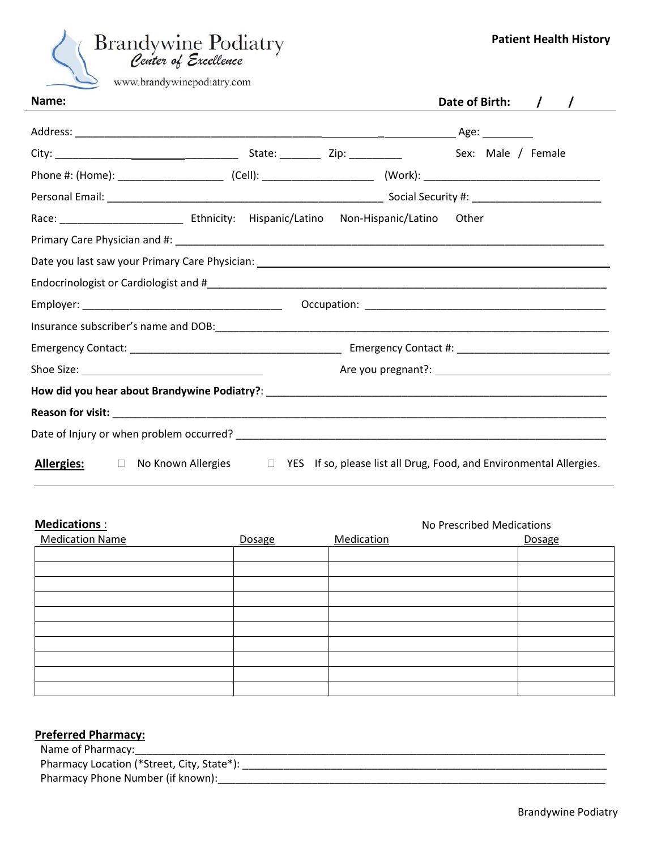| <b>Brandywine Podiatry</b> |
|----------------------------|
| Center of Excellence       |
| www.brandywinepodiatry.com |

| Date of Birth:                                                                                                                                                                                                                            |  |
|-------------------------------------------------------------------------------------------------------------------------------------------------------------------------------------------------------------------------------------------|--|
|                                                                                                                                                                                                                                           |  |
|                                                                                                                                                                                                                                           |  |
|                                                                                                                                                                                                                                           |  |
|                                                                                                                                                                                                                                           |  |
|                                                                                                                                                                                                                                           |  |
|                                                                                                                                                                                                                                           |  |
|                                                                                                                                                                                                                                           |  |
|                                                                                                                                                                                                                                           |  |
|                                                                                                                                                                                                                                           |  |
|                                                                                                                                                                                                                                           |  |
|                                                                                                                                                                                                                                           |  |
|                                                                                                                                                                                                                                           |  |
|                                                                                                                                                                                                                                           |  |
| Reason for visit: $\overline{\phantom{a}}$ . The contract of the contract of the contract of the contract of the contract of the contract of the contract of the contract of the contract of the contract of the contract of the contract |  |
|                                                                                                                                                                                                                                           |  |
|                                                                                                                                                                                                                                           |  |

Allergies:  $\Box$  No Known Allergies  $\Box$  YES If so, please list all Drug, Food, and Environmental Allergies.

| <b>Medications:</b>    |        | No Prescribed Medications |        |  |  |
|------------------------|--------|---------------------------|--------|--|--|
| <b>Medication Name</b> | Dosage | Medication                | Dosage |  |  |
|                        |        |                           |        |  |  |
|                        |        |                           |        |  |  |
|                        |        |                           |        |  |  |
|                        |        |                           |        |  |  |
|                        |        |                           |        |  |  |
|                        |        |                           |        |  |  |
|                        |        |                           |        |  |  |
|                        |        |                           |        |  |  |
|                        |        |                           |        |  |  |
|                        |        |                           |        |  |  |

# **Preferred Pharmacy:**

| Name of Pharmacy:                          |
|--------------------------------------------|
| Pharmacy Location (*Street, City, State*): |
| Pharmacy Phone Number (if known):          |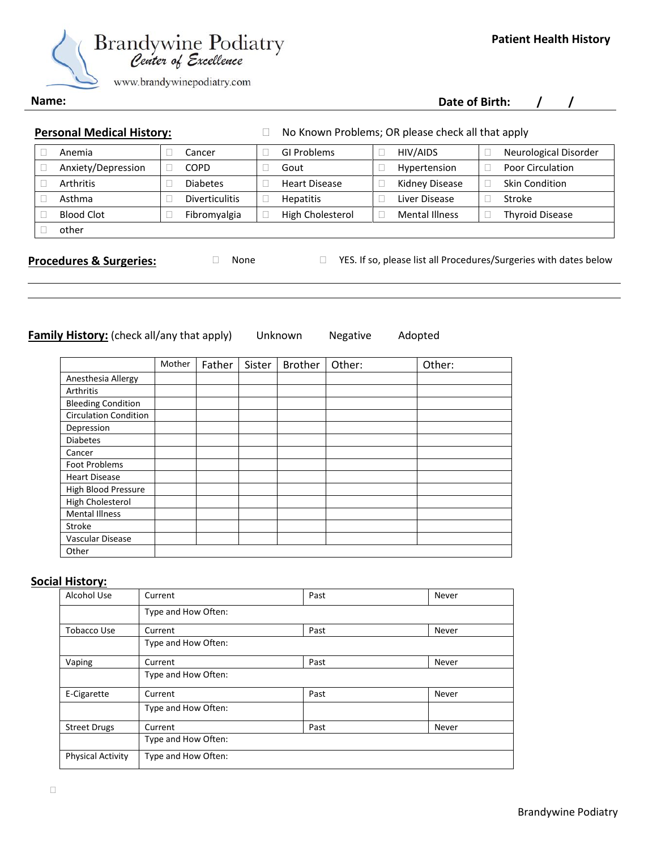

 **Date of Birth: / /**

**Name:**

**Personal Medical History:** <br>
No Known Problems; OR please check all that apply

| Anemia             | Cancer                | GI Problems          | HIV/AIDS              | Neurological Disorder  |
|--------------------|-----------------------|----------------------|-----------------------|------------------------|
| Anxiety/Depression | <b>COPD</b>           | Gout                 | Hypertension          | Poor Circulation       |
| <b>Arthritis</b>   | <b>Diabetes</b>       | <b>Heart Disease</b> | Kidney Disease        | <b>Skin Condition</b>  |
| Asthma             | <b>Diverticulitis</b> | <b>Hepatitis</b>     | Liver Disease         | Stroke                 |
| <b>Blood Clot</b>  | Fibromyalgia          | High Cholesterol     | <b>Mental Illness</b> | <b>Thyroid Disease</b> |
| other              |                       |                      |                       |                        |

**Procedures & Surgeries:**  $\Box$  None  $\Box$  YES. If so, please list all Procedures/Surgeries with dates below

**Family History:** (check all/any that apply) Unknown Negative Adopted

|                              | Mother | Father | Sister | <b>Brother</b> | Other: | Other: |
|------------------------------|--------|--------|--------|----------------|--------|--------|
| Anesthesia Allergy           |        |        |        |                |        |        |
| Arthritis                    |        |        |        |                |        |        |
| <b>Bleeding Condition</b>    |        |        |        |                |        |        |
| <b>Circulation Condition</b> |        |        |        |                |        |        |
| Depression                   |        |        |        |                |        |        |
| <b>Diabetes</b>              |        |        |        |                |        |        |
| Cancer                       |        |        |        |                |        |        |
| <b>Foot Problems</b>         |        |        |        |                |        |        |
| <b>Heart Disease</b>         |        |        |        |                |        |        |
| High Blood Pressure          |        |        |        |                |        |        |
| High Cholesterol             |        |        |        |                |        |        |
| <b>Mental Illness</b>        |        |        |        |                |        |        |
| Stroke                       |        |        |        |                |        |        |
| Vascular Disease             |        |        |        |                |        |        |
| Other                        |        |        |        |                |        |        |

## **Social History:**

| Alcohol Use              | Current             | Past | Never |
|--------------------------|---------------------|------|-------|
|                          | Type and How Often: |      |       |
| <b>Tobacco Use</b>       | Current             | Past | Never |
|                          | Type and How Often: |      |       |
| Vaping                   | Current             | Past | Never |
|                          | Type and How Often: |      |       |
| E-Cigarette              | Current             | Past | Never |
|                          | Type and How Often: |      |       |
| <b>Street Drugs</b>      | Current             | Past | Never |
|                          | Type and How Often: |      |       |
| <b>Physical Activity</b> | Type and How Often: |      |       |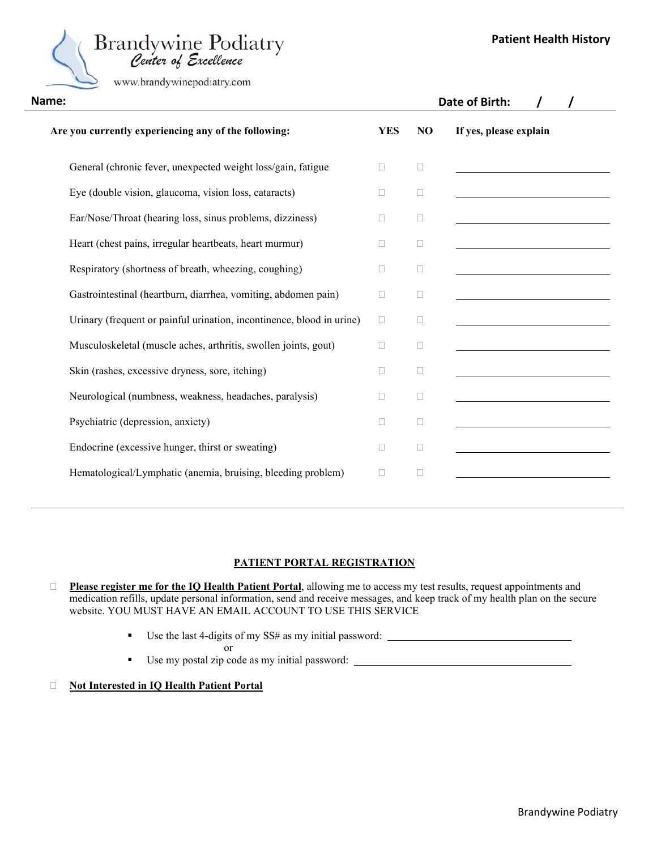

www.brandywinepodiatry.com

| Name:                                                                 |              |        | Date of Birth:         |
|-----------------------------------------------------------------------|--------------|--------|------------------------|
| Are you currently experiencing any of the following:                  | <b>YES</b>   | NO     | If yes, please explain |
| General (chronic fever, unexpected weight loss/gain, fatigue          | $\Box$       | $\Box$ |                        |
| Eye (double vision, glaucoma, vision loss, cataracts)                 | П            | $\Box$ |                        |
| Ear/Nose/Throat (hearing loss, sinus problems, dizziness)             | $\mathbf{L}$ | □      |                        |
| Heart (chest pains, irregular heartbeats, heart murmur)               | $\Box$       | $\Box$ |                        |
| Respiratory (shortness of breath, wheezing, coughing)                 | П            | $\Box$ |                        |
| Gastrointestinal (heartburn, diarrhea, vomiting, abdomen pain)        | $\Box$       | $\Box$ |                        |
| Urinary (frequent or painful urination, incontinence, blood in urine) | $\Box$       | □      |                        |
| Musculoskeletal (muscle aches, arthritis, swollen joints, gout)       | П            | $\Box$ |                        |
| Skin (rashes, excessive dryness, sore, itching)                       | $\Box$       | $\Box$ |                        |
| Neurological (numbness, weakness, headaches, paralysis)               | $\mathbf{L}$ | □      |                        |
| Psychiatric (depression, anxiety)                                     | П            | $\Box$ |                        |
| Endocrine (excessive hunger, thirst or sweating)                      | П            | $\Box$ |                        |
| Hematological/Lymphatic (anemia, bruising, bleeding problem)          | □            | $\Box$ |                        |
|                                                                       |              |        |                        |

## **PATIENT PORTAL REGISTRATION**

 **Please register me for the IQ Health Patient Portal**, allowing me to access my test results, request appointments and medication refills, update personal information, send and receive messages, and keep track of my health plan on the secure website. YOU MUST HAVE AN EMAIL ACCOUNT TO USE THIS SERVICE

- Use the last 4-digits of my SS# as my initial password:
	-
- Use my postal zip code as my initial password: \_\_\_\_\_\_\_\_\_\_\_\_\_\_\_\_\_\_\_\_\_\_\_\_\_\_\_\_\_\_\_\_\_

or

#### **Not Interested in IQ Health Patient Portal**